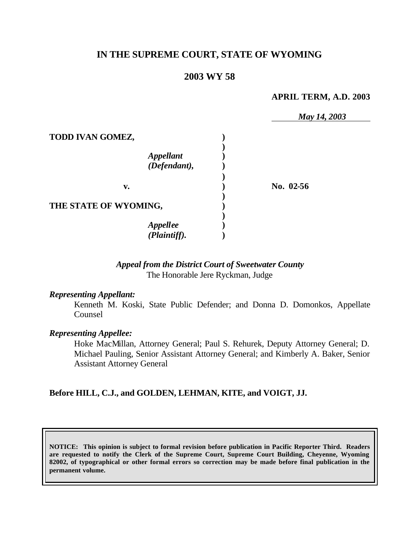# **IN THE SUPREME COURT, STATE OF WYOMING**

## **2003 WY 58**

#### **APRIL TERM, A.D. 2003**

|                                                      | May 14, 2003 |
|------------------------------------------------------|--------------|
| TODD IVAN GOMEZ,<br><b>Appellant</b><br>(Defendant), |              |
| v.                                                   | No. 02-56    |
| THE STATE OF WYOMING,                                |              |
| <b>Appellee</b><br>(Plaintiff).                      |              |

## *Appeal from the District Court of Sweetwater County* The Honorable Jere Ryckman, Judge

#### *Representing Appellant:*

Kenneth M. Koski, State Public Defender; and Donna D. Domonkos, Appellate Counsel

#### *Representing Appellee:*

Hoke MacMillan, Attorney General; Paul S. Rehurek, Deputy Attorney General; D. Michael Pauling, Senior Assistant Attorney General; and Kimberly A. Baker, Senior Assistant Attorney General

### **Before HILL, C.J., and GOLDEN, LEHMAN, KITE, and VOIGT, JJ.**

**NOTICE: This opinion is subject to formal revision before publication in Pacific Reporter Third. Readers are requested to notify the Clerk of the Supreme Court, Supreme Court Building, Cheyenne, Wyoming 82002, of typographical or other formal errors so correction may be made before final publication in the permanent volume.**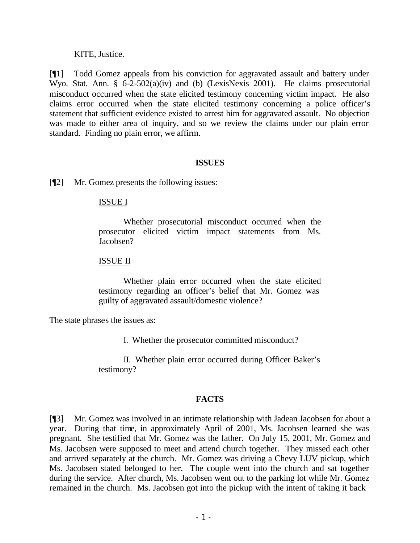#### KITE, Justice.

[¶1] Todd Gomez appeals from his conviction for aggravated assault and battery under Wyo. Stat. Ann. § 6-2-502(a)(iv) and (b) (LexisNexis 2001). He claims prosecutorial misconduct occurred when the state elicited testimony concerning victim impact. He also claims error occurred when the state elicited testimony concerning a police officer's statement that sufficient evidence existed to arrest him for aggravated assault. No objection was made to either area of inquiry, and so we review the claims under our plain error standard. Finding no plain error, we affirm.

#### **ISSUES**

[¶2] Mr. Gomez presents the following issues:

### ISSUE I

Whether prosecutorial misconduct occurred when the prosecutor elicited victim impact statements from Ms. Jacobsen?

#### ISSUE II

Whether plain error occurred when the state elicited testimony regarding an officer's belief that Mr. Gomez was guilty of aggravated assault/domestic violence?

The state phrases the issues as:

I. Whether the prosecutor committed misconduct?

II. Whether plain error occurred during Officer Baker's testimony?

### **FACTS**

[¶3] Mr. Gomez was involved in an intimate relationship with Jadean Jacobsen for about a year. During that time, in approximately April of 2001, Ms. Jacobsen learned she was pregnant. She testified that Mr. Gomez was the father. On July 15, 2001, Mr. Gomez and Ms. Jacobsen were supposed to meet and attend church together. They missed each other and arrived separately at the church. Mr. Gomez was driving a Chevy LUV pickup, which Ms. Jacobsen stated belonged to her. The couple went into the church and sat together during the service. After church, Ms. Jacobsen went out to the parking lot while Mr. Gomez remained in the church. Ms. Jacobsen got into the pickup with the intent of taking it back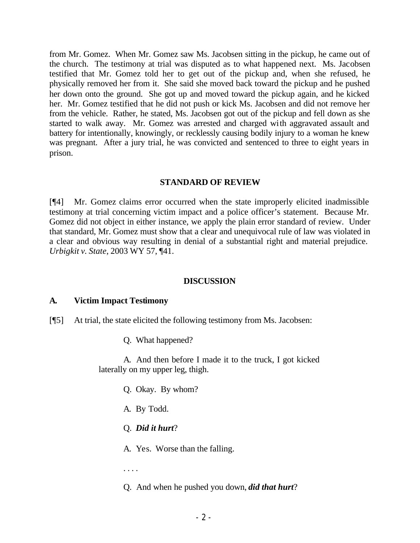from Mr. Gomez. When Mr. Gomez saw Ms. Jacobsen sitting in the pickup, he came out of the church. The testimony at trial was disputed as to what happened next. Ms. Jacobsen testified that Mr. Gomez told her to get out of the pickup and, when she refused, he physically removed her from it. She said she moved back toward the pickup and he pushed her down onto the ground. She got up and moved toward the pickup again, and he kicked her. Mr. Gomez testified that he did not push or kick Ms. Jacobsen and did not remove her from the vehicle. Rather, he stated, Ms. Jacobsen got out of the pickup and fell down as she started to walk away. Mr. Gomez was arrested and charged with aggravated assault and battery for intentionally, knowingly, or recklessly causing bodily injury to a woman he knew was pregnant. After a jury trial, he was convicted and sentenced to three to eight years in prison.

### **STANDARD OF REVIEW**

[¶4] Mr. Gomez claims error occurred when the state improperly elicited inadmissible testimony at trial concerning victim impact and a police officer's statement. Because Mr. Gomez did not object in either instance, we apply the plain error standard of review. Under that standard, Mr. Gomez must show that a clear and unequivocal rule of law was violated in a clear and obvious way resulting in denial of a substantial right and material prejudice. *Urbigkit v. State*, 2003 WY 57, ¶41.

### **DISCUSSION**

### **A. Victim Impact Testimony**

- [¶5] At trial, the state elicited the following testimony from Ms. Jacobsen:
	- Q. What happened?

A. And then before I made it to the truck, I got kicked laterally on my upper leg, thigh.

- Q. Okay. By whom?
- A. By Todd.
- Q. *Did it hurt*?

A. Yes. Worse than the falling.

. . . .

Q. And when he pushed you down, *did that hurt*?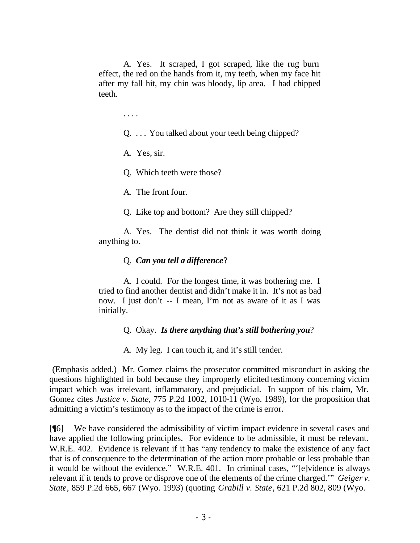A. Yes. It scraped, I got scraped, like the rug burn effect, the red on the hands from it, my teeth, when my face hit after my fall hit, my chin was bloody, lip area. I had chipped teeth.

. . . .

Q. . . . You talked about your teeth being chipped?

A. Yes, sir.

Q. Which teeth were those?

A. The front four.

Q. Like top and bottom? Are they still chipped?

A. Yes. The dentist did not think it was worth doing anything to.

### Q. *Can you tell a difference*?

A. I could. For the longest time, it was bothering me. I tried to find another dentist and didn't make it in. It's not as bad now. I just don't -- I mean, I'm not as aware of it as I was initially.

Q. Okay. *Is there anything that's still bothering you*?

A. My leg. I can touch it, and it's still tender.

 (Emphasis added.) Mr. Gomez claims the prosecutor committed misconduct in asking the questions highlighted in bold because they improperly elicited testimony concerning victim impact which was irrelevant, inflammatory, and prejudicial. In support of his claim, Mr. Gomez cites *Justice v. State*, 775 P.2d 1002, 1010-11 (Wyo. 1989), for the proposition that admitting a victim's testimony as to the impact of the crime is error.

[¶6] We have considered the admissibility of victim impact evidence in several cases and have applied the following principles. For evidence to be admissible, it must be relevant. W.R.E. 402. Evidence is relevant if it has "any tendency to make the existence of any fact that is of consequence to the determination of the action more probable or less probable than it would be without the evidence." W.R.E. 401. In criminal cases, "'[e]vidence is always relevant if it tends to prove or disprove one of the elements of the crime charged.'" *Geiger v. State*, 859 P.2d 665, 667 (Wyo. 1993) (quoting *Grabill v. State*, 621 P.2d 802, 809 (Wyo.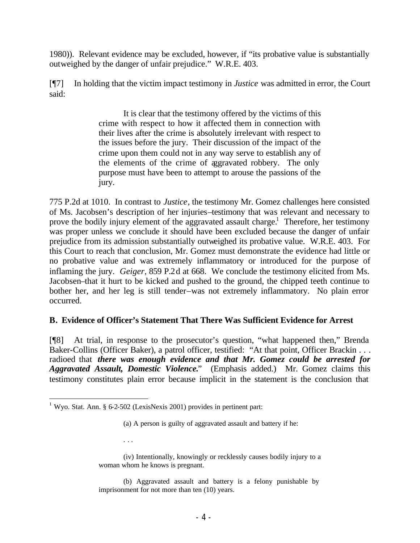1980)). Relevant evidence may be excluded, however, if "its probative value is substantially outweighed by the danger of unfair prejudice." W.R.E. 403.

[¶7] In holding that the victim impact testimony in *Justice* was admitted in error, the Court said:

> It is clear that the testimony offered by the victims of this crime with respect to how it affected them in connection with their lives after the crime is absolutely irrelevant with respect to the issues before the jury. Their discussion of the impact of the crime upon them could not in any way serve to establish any of the elements of the crime of aggravated robbery. The only purpose must have been to attempt to arouse the passions of the jury.

775 P.2d at 1010. In contrast to *Justice*, the testimony Mr. Gomez challenges here consisted of Ms. Jacobsen's description of her injuries–testimony that was relevant and necessary to prove the bodily injury element of the aggravated assault charge.<sup>1</sup> Therefore, her testimony was proper unless we conclude it should have been excluded because the danger of unfair prejudice from its admission substantially outweighed its probative value. W.R.E. 403. For this Court to reach that conclusion, Mr. Gomez must demonstrate the evidence had little or no probative value and was extremely inflammatory or introduced for the purpose of inflaming the jury. *Geiger*, 859 P.2d at 668. We conclude the testimony elicited from Ms. Jacobsen–that it hurt to be kicked and pushed to the ground, the chipped teeth continue to bother her, and her leg is still tender–was not extremely inflammatory. No plain error occurred.

## **B. Evidence of Officer's Statement That There Was Sufficient Evidence for Arrest**

[¶8] At trial, in response to the prosecutor's question, "what happened then," Brenda Baker-Collins (Officer Baker), a patrol officer, testified: "At that point, Officer Brackin . . . radioed that *there was enough evidence and that Mr. Gomez could be arrested for Aggravated Assault, Domestic Violence.*" (Emphasis added.) Mr. Gomez claims this testimony constitutes plain error because implicit in the statement is the conclusion that

. . .

 <sup>1</sup> Wyo. Stat. Ann. § 6-2-502 (LexisNexis 2001) provides in pertinent part:

<sup>(</sup>a) A person is guilty of aggravated assault and battery if he:

<sup>(</sup>iv) Intentionally, knowingly or recklessly causes bodily injury to a woman whom he knows is pregnant.

<sup>(</sup>b) Aggravated assault and battery is a felony punishable by imprisonment for not more than ten (10) years.